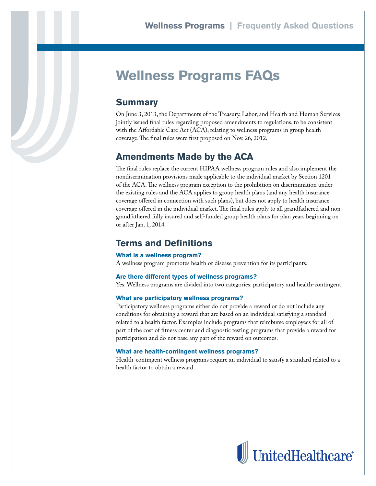# **Wellness Programs FAQs**

# **Summary**

On June 3, 2013, the Departments of the Treasury, Labor, and Health and Human Services jointly issued final rules regarding proposed amendments to regulations, to be consistent with the Affordable Care Act (ACA), relating to wellness programs in group health coverage. The final rules were first proposed on Nov. 26, 2012.

## **Amendments Made by the ACA**

The final rules replace the current HIPAA wellness program rules and also implement the nondiscrimination provisions made applicable to the individual market by Section 1201 of the ACA. The wellness program exception to the prohibition on discrimination under the existing rules and the ACA applies to group health plans (and any health insurance coverage offered in connection with such plans), but does not apply to health insurance coverage offered in the individual market. The final rules apply to all grandfathered and nongrandfathered fully insured and self-funded group health plans for plan years beginning on or after Jan. 1, 2014.

## **Terms and Definitions**

#### **What is a wellness program?**

A wellness program promotes health or disease prevention for its participants.

#### **Are there different types of wellness programs?**

Yes. Wellness programs are divided into two categories: participatory and health-contingent.

#### **What are participatory wellness programs?**

Participatory wellness programs either do not provide a reward or do not include any conditions for obtaining a reward that are based on an individual satisfying a standard related to a health factor. Examples include programs that reimburse employees for all of part of the cost of fitness center and diagnostic testing programs that provide a reward for participation and do not base any part of the reward on outcomes.

#### **What are health-contingent wellness programs?**

Health-contingent wellness programs require an individual to satisfy a standard related to a health factor to obtain a reward.

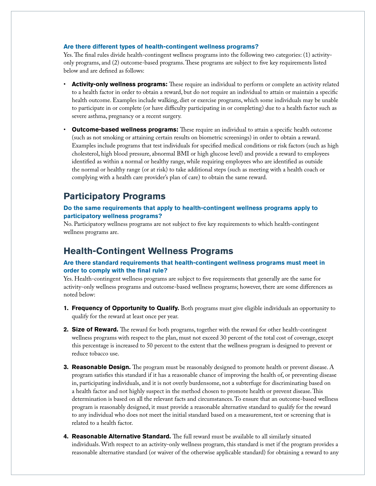#### **Are there different types of health-contingent wellness programs?**

Yes. The final rules divide health-contingent wellness programs into the following two categories: (1) activityonly programs, and (2) outcome-based programs. These programs are subject to five key requirements listed below and are defined as follows:

- Activity-only wellness programs: These require an individual to perform or complete an activity related to a health factor in order to obtain a reward, but do not require an individual to attain or maintain a specific health outcome. Examples include walking, diet or exercise programs, which some individuals may be unable to participate in or complete (or have difficulty participating in or completing) due to a health factor such as severe asthma, pregnancy or a recent surgery.
- **Outcome-based wellness programs:** These require an individual to attain a specific health outcome (such as not smoking or attaining certain results on biometric screenings) in order to obtain a reward. Examples include programs that test individuals for specified medical conditions or risk factors (such as high cholesterol, high blood pressure, abnormal BMI or high glucose level) and provide a reward to employees identified as within a normal or healthy range, while requiring employees who are identified as outside the normal or healthy range (or at risk) to take additional steps (such as meeting with a health coach or complying with a health care provider's plan of care) to obtain the same reward.

### **Participatory Programs**

#### **Do the same requirements that apply to health-contingent wellness programs apply to participatory wellness programs?**

No. Participatory wellness programs are not subject to five key requirements to which health-contingent wellness programs are.

### **Health-Contingent Wellness Programs**

#### **Are there standard requirements that health-contingent wellness programs must meet in order to comply with the final rule?**

Yes. Health-contingent wellness programs are subject to five requirements that generally are the same for activity-only wellness programs and outcome-based wellness programs; however, there are some differences as noted below:

- **1. Frequency of Opportunity to Qualify.** Both programs must give eligible individuals an opportunity to qualify for the reward at least once per year.
- **2. Size of Reward.** The reward for both programs, together with the reward for other health-contingent wellness programs with respect to the plan, must not exceed 30 percent of the total cost of coverage, except this percentage is increased to 50 percent to the extent that the wellness program is designed to prevent or reduce tobacco use.
- **3. Reasonable Design.** The program must be reasonably designed to promote health or prevent disease. A program satisfies this standard if it has a reasonable chance of improving the health of, or preventing disease in, participating individuals, and it is not overly burdensome, not a subterfuge for discriminating based on a health factor and not highly suspect in the method chosen to promote health or prevent disease. This determination is based on all the relevant facts and circumstances. To ensure that an outcome-based wellness program is reasonably designed, it must provide a reasonable alternative standard to qualify for the reward to any individual who does not meet the initial standard based on a measurement, test or screening that is related to a health factor.
- **4. Reasonable Alternative Standard.** The full reward must be available to all similarly situated individuals. With respect to an activity-only wellness program, this standard is met if the program provides a reasonable alternative standard (or waiver of the otherwise applicable standard) for obtaining a reward to any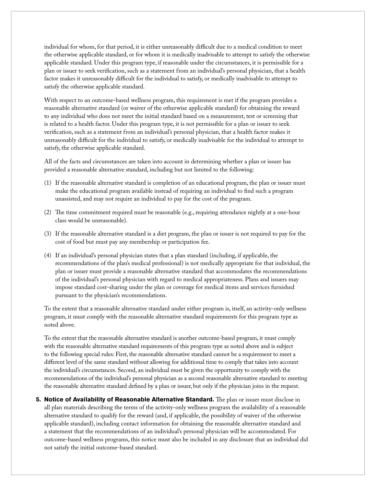individual for whom, for that period, it is either unreasonably difficult due to a medical condition to meet the otherwise applicable standard, or for whom it is medically inadvisable to attempt to satisfy the otherwise applicable standard. Under this program type, if reasonable under the circumstances, it is permissible for a plan or issuer to seek verification, such as a statement from an individual's personal physician, that a health factor makes it unreasonably difficult for the individual to satisfy, or medically inadvisable to attempt to satisfy the otherwise applicable standard.

With respect to an outcome-based wellness program, this requirement is met if the program provides a reasonable alternative standard (or waiver of the otherwise applicable standard) for obtaining the reward to any individual who does not meet the initial standard based on a measurement, test or screening that is related to a health factor. Under this program type, it is not permissible for a plan or issuer to seek verification, such as a statement from an individual's personal physician, that a health factor makes it unreasonably difficult for the individual to satisfy, or medically inadvisable for the individual to attempt to satisfy, the otherwise applicable standard.

All of the facts and circumstances are taken into account in determining whether a plan or issuer has provided a reasonable alternative standard, including but not limited to the following:

- (1) If the reasonable alternative standard is completion of an educational program, the plan or issuer must make the educational program available instead of requiring an individual to find such a program unassisted, and may not require an individual to pay for the cost of the program.
- (2) The time commitment required must be reasonable (e.g., requiring attendance nightly at a one-hour class would be unreasonable).
- (3) If the reasonable alternative standard is a diet program, the plan or issuer is not required to pay for the cost of food but must pay any membership or participation fee.
- (4) If an individual's personal physician states that a plan standard (including, if applicable, the recommendations of the plan's medical professional) is not medically appropriate for that individual, the plan or issuer must provide a reasonable alternative standard that accommodates the recommendations of the individual's personal physician with regard to medical appropriateness. Plans and issuers may impose standard cost-sharing under the plan or coverage for medical items and services furnished pursuant to the physician's recommendations.

To the extent that a reasonable alternative standard under either program is, itself, an activity-only wellness program, it must comply with the reasonable alternative standard requirements for this program type as noted above.

To the extent that the reasonable alternative standard is another outcome-based program, it must comply with the reasonable alternative standard requirements of this program type as noted above and is subject to the following special rules: First, the reasonable alternative standard cannot be a requirement to meet a different level of the same standard without allowing for additional time to comply that takes into account the individual's circumstances. Second, an individual must be given the opportunity to comply with the recommendations of the individual's personal physician as a second reasonable alternative standard to meeting the reasonable alternative standard defined by a plan or issuer, but only if the physician joins in the request.

**5. Notice of Availability of Reasonable Alternative Standard.** The plan or issuer must disclose in all plan materials describing the terms of the activity-only wellness program the availability of a reasonable alternative standard to qualify for the reward (and, if applicable, the possibility of waiver of the otherwise applicable standard), including contact information for obtaining the reasonable alternative standard and a statement that the recommendations of an individual's personal physician will be accommodated. For outcome-based wellness programs, this notice must also be included in any disclosure that an individual did not satisfy the initial outcome-based standard.